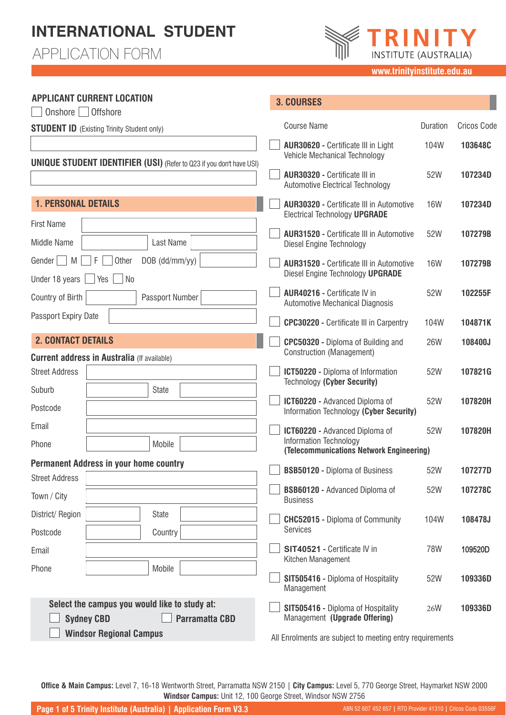# **INTERNATIONAL STUDENT**

## APPLICATION FORM



### **www.trinityinstitute.edu.au**

| <b>APPLICANT CURRENT LOCATION</b>                                                           | <b>3. COURSES</b>                                                                       |            |                    |
|---------------------------------------------------------------------------------------------|-----------------------------------------------------------------------------------------|------------|--------------------|
| <b>Offshore</b><br>Onshore<br><b>STUDENT ID</b> (Existing Trinity Student only)             | <b>Course Name</b>                                                                      | Duration   | <b>Cricos Code</b> |
|                                                                                             | <b>AUR30620 - Certificate III in Light</b>                                              | 104W       | 103648C            |
| <b>UNIQUE STUDENT IDENTIFIER (USI)</b> (Refer to Q23 if you don't have USI)                 | Vehicle Mechanical Technology                                                           |            |                    |
|                                                                                             | <b>AUR30320 - Certificate III in</b><br><b>Automotive Electrical Technology</b>         | 52W        | 107234D            |
| <b>1. PERSONAL DETAILS</b>                                                                  | <b>AUR30320 - Certificate III in Automotive</b><br><b>Electrical Technology UPGRADE</b> | <b>16W</b> | 107234D            |
| <b>First Name</b>                                                                           |                                                                                         |            |                    |
| Middle Name<br>Last Name                                                                    | <b>AUR31520 - Certificate III in Automotive</b><br>Diesel Engine Technology             | 52W        | 107279B            |
| F<br>Other<br>DOB (dd/mm/yy)<br>Gender<br>M                                                 | <b>AUR31520 - Certificate III in Automotive</b><br>Diesel Engine Technology UPGRADE     | <b>16W</b> | 107279B            |
| Under 18 years<br>Yes<br>No                                                                 | <b>AUR40216 - Certificate IV in</b>                                                     | 52W        | 102255F            |
| Country of Birth<br>Passport Number                                                         | <b>Automotive Mechanical Diagnosis</b>                                                  |            |                    |
| Passport Expiry Date                                                                        | <b>CPC30220 - Certificate III in Carpentry</b>                                          | 104W       | 104871K            |
| <b>2. CONTACT DETAILS</b>                                                                   | CPC50320 - Diploma of Building and<br><b>Construction (Management)</b>                  | <b>26W</b> | 108400J            |
| <b>Current address in Australia (If available)</b><br><b>Street Address</b>                 | ICT50220 - Diploma of Information                                                       | 52W        | 107821G            |
| Suburb<br><b>State</b>                                                                      | Technology (Cyber Security)                                                             |            |                    |
| Postcode                                                                                    | ICT60220 - Advanced Diploma of<br>Information Technology (Cyber Security)               | 52W        | 107820H            |
| Email                                                                                       | ICT60220 - Advanced Diploma of                                                          | 52W        | 107820H            |
| Mobile<br>Phone                                                                             | Information Technology<br>(Telecommunications Network Engineering)                      |            |                    |
| <b>Permanent Address in your home country</b>                                               |                                                                                         |            |                    |
| <b>Street Address</b>                                                                       | <b>BSB50120 - Diploma of Business</b>                                                   | 52W        | 107277D            |
| Town / City                                                                                 | <b>BSB60120 - Advanced Diploma of</b><br><b>Business</b>                                | 52W        | 107278C            |
| District/Region<br><b>State</b>                                                             | <b>CHC52015 - Diploma of Community</b>                                                  | 104W       | 108478J            |
| Postcode<br>Country                                                                         | <b>Services</b>                                                                         |            |                    |
| Email                                                                                       | SIT40521 - Certificate IV in<br>Kitchen Management                                      | 78W        | 109520D            |
| Phone<br>Mobile                                                                             | SIT505416 - Diploma of Hospitality<br>Management                                        | 52W        | 109336D            |
| Select the campus you would like to study at:<br><b>Sydney CBD</b><br><b>Parramatta CBD</b> | SIT505416 - Diploma of Hospitality<br>Management (Upgrade Offering)                     | 26W        | 109336D            |
| <b>Windsor Regional Campus</b>                                                              | All Enrolments are subject to meeting entry requirements                                |            |                    |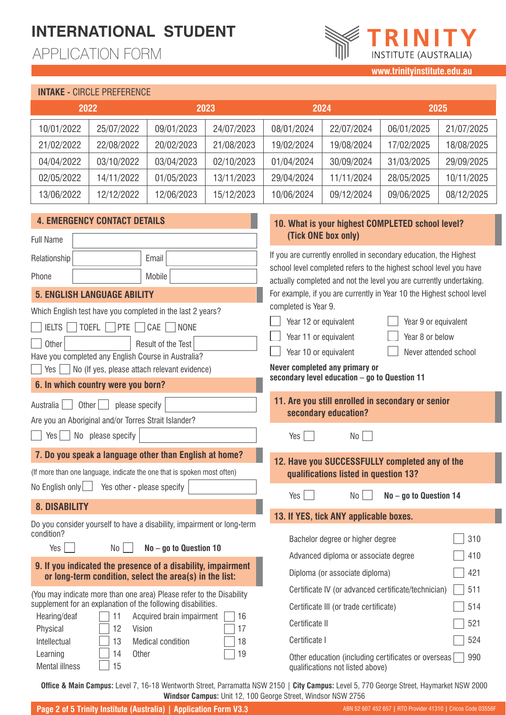# **INTERNATIONAL STUDENT**

# APPLICATION FORM



#### **www.trinityinstitute.edu.au**

| <b>INTAKE - CIRCLE PREFERENCE</b> |  |  |  |
|-----------------------------------|--|--|--|
|-----------------------------------|--|--|--|

| 2025       |  |
|------------|--|
|            |  |
| 21/07/2025 |  |
| 18/08/2025 |  |
|            |  |
| 29/09/2025 |  |
| 10/11/2025 |  |
|            |  |
| 08/12/2025 |  |
|            |  |

| <b>4. EMERGENCY CONTACT DETAILS</b>                                                                                                                                                                                                                                                                 | 10. What is your highest COMPLETED school level?                                                                                                                                                                                                       |  |
|-----------------------------------------------------------------------------------------------------------------------------------------------------------------------------------------------------------------------------------------------------------------------------------------------------|--------------------------------------------------------------------------------------------------------------------------------------------------------------------------------------------------------------------------------------------------------|--|
| <b>Full Name</b>                                                                                                                                                                                                                                                                                    | (Tick ONE box only)                                                                                                                                                                                                                                    |  |
| Relationship<br>Email<br>Mobile<br>Phone                                                                                                                                                                                                                                                            | If you are currently enrolled in secondary education, the Highest<br>school level completed refers to the highest school level you have<br>actually completed and not the level you are currently undertaking.                                         |  |
| <b>5. ENGLISH LANGUAGE ABILITY</b>                                                                                                                                                                                                                                                                  | For example, if you are currently in Year 10 the Highest school level                                                                                                                                                                                  |  |
| Which English test have you completed in the last 2 years?<br>TOEFL<br>PTE<br>CAE<br><b>IELTS</b><br><b>NONE</b><br>Other<br>Result of the Test<br>Have you completed any English Course in Australia?<br>No (If yes, please attach relevant evidence)<br>Yes<br>6. In which country were you born? | completed is Year 9.<br>Year 12 or equivalent<br>Year 9 or equivalent<br>Year 11 or equivalent<br>Year 8 or below<br>Year 10 or equivalent<br>Never attended school<br>Never completed any primary or<br>secondary level education - go to Question 11 |  |
| Other $ $<br>Australia<br>please specify                                                                                                                                                                                                                                                            | 11. Are you still enrolled in secondary or senior                                                                                                                                                                                                      |  |
| Are you an Aboriginal and/or Torres Strait Islander?                                                                                                                                                                                                                                                | secondary education?                                                                                                                                                                                                                                   |  |
| No please specify<br>Yes                                                                                                                                                                                                                                                                            | Yes<br>No                                                                                                                                                                                                                                              |  |
| 7. Do you speak a language other than English at home?                                                                                                                                                                                                                                              | 12. Have you SUCCESSFULLY completed any of the                                                                                                                                                                                                         |  |
| (If more than one language, indicate the one that is spoken most often)                                                                                                                                                                                                                             | qualifications listed in question 13?                                                                                                                                                                                                                  |  |
| No English only<br>Yes other - please specify                                                                                                                                                                                                                                                       | Yes<br>No - go to Question 14<br>No                                                                                                                                                                                                                    |  |
| <b>8. DISABILITY</b>                                                                                                                                                                                                                                                                                | 13. If YES, tick ANY applicable boxes.                                                                                                                                                                                                                 |  |
| Do you consider yourself to have a disability, impairment or long-term<br>condition?                                                                                                                                                                                                                |                                                                                                                                                                                                                                                        |  |
| No - go to Question 10<br>Yes<br>No                                                                                                                                                                                                                                                                 | Bachelor degree or higher degree<br>310                                                                                                                                                                                                                |  |
| 9. If you indicated the presence of a disability, impairment                                                                                                                                                                                                                                        | 410<br>Advanced diploma or associate degree                                                                                                                                                                                                            |  |
| or long-term condition, select the area(s) in the list:                                                                                                                                                                                                                                             | 421<br>Diploma (or associate diploma)                                                                                                                                                                                                                  |  |
| (You may indicate more than one area) Please refer to the Disability                                                                                                                                                                                                                                | Certificate IV (or advanced certificate/technician)<br>511                                                                                                                                                                                             |  |
| supplement for an explanation of the following disabilities.<br>Acquired brain impairment<br>Hearing/deaf<br>11<br>16                                                                                                                                                                               | 514<br>Certificate III (or trade certificate)                                                                                                                                                                                                          |  |
| 12<br>Physical<br>Vision<br>17                                                                                                                                                                                                                                                                      | Certificate II<br>521                                                                                                                                                                                                                                  |  |
| 13<br>18<br><b>Medical condition</b><br>Intellectual                                                                                                                                                                                                                                                | 524<br>Certificate I                                                                                                                                                                                                                                   |  |
| 19<br>14<br>Other<br>Learning<br>15<br><b>Mental illness</b>                                                                                                                                                                                                                                        | 990<br>Other education (including certificates or overseas<br>qualifications not listed above)                                                                                                                                                         |  |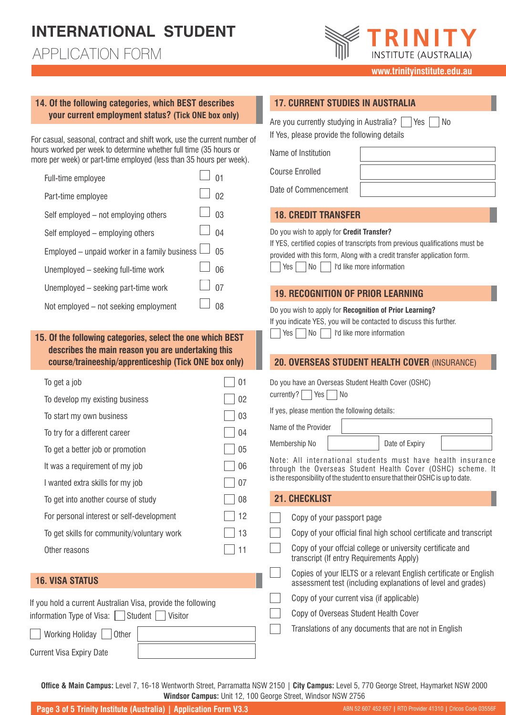# **INTERNATIONAL STUDENT** APPLICATION FORM



#### **www.trinityinstitute.edu.au**

## 14. Of the following categories, which BEST describes **your current employment status? (Tick ONE box only)**

For casual, seasonal, contract and shift work, use the current number of hours worked per week to determine whether full time (35 hours or more per week) or part-time employed (less than 35 hours per week).

| Full-time employee                            |                  |
|-----------------------------------------------|------------------|
| Part-time employee                            | 02               |
| Self employed – not employing others          | 0.3 <sup>2</sup> |
| Self employed – employing others              | 04               |
| Employed - unpaid worker in a family business | 0 <sub>5</sub>   |
| Unemployed - seeking full-time work           | 06               |
| Unemployed - seeking part-time work           | 07               |
| Not employed – not seeking employment         | በጸ               |

## **15. Of the following categories, select the one which BEST describes the main reason you are undertaking this course/traineeship/apprenticeship (Tick ONE box only)**

| To get a job                               | 01 |
|--------------------------------------------|----|
| To develop my existing business            | 02 |
| To start my own business                   | 03 |
| To try for a different career              | 04 |
| To get a better job or promotion           | 05 |
| It was a requirement of my job             | 06 |
| I wanted extra skills for my job           | 07 |
| To get into another course of study        | 08 |
| For personal interest or self-development  | 12 |
| To get skills for community/voluntary work | 13 |
| Other reasons                              | 11 |

## **16. VISA STATUS**

Current Visa Expiry Date

| Working Holiday |  $\vert$  Other

| If Yes, please provide the following details  |  |  |
|-----------------------------------------------|--|--|
| Name of Institution                           |  |  |
| <b>Course Enrolled</b>                        |  |  |
| Date of Commencement                          |  |  |
| <b>18. CREDIT TRANSFER</b>                    |  |  |
| De stellt stelle begin den Die die Tuese beso |  |  |

**17. CURRENT STUDIES IN AUSTRALIA**

Are you currently studying in Australia?  $\Box$  Yes  $\Box$  No

Do you wish to apply for **Credit Transfer?** If YES, certified copies of transcripts from previous qualifications must be provided with this form, Along with a credit transfer application form.  $\Box$  Yes  $\Box$  No  $\Box$  I'd like more information

#### **19. RECOGNITION OF PRIOR LEARNING**

Do you wish to apply for **Recognition of Prior Learning?** If you indicate YES, you will be contacted to discuss this further.

 $\Box$  No  $\Box$  I'd like more information

## **20. OVERSEAS STUDENT HEALTH COVER** (INSURANCE)

Do you have an Overseas Student Health Cover (OSHC) currently? Yes No

If yes, please mention the following details:

Name of the Provider

Membership No  $\parallel$  Date of Expiry

Note: All international students must have health insurance through the Overseas Student Health Cover (OSHC) scheme. It is the responsibility of the student to ensure that their OSHC is up to date.

|  | <b>21. CHECKLIST</b>                                                                                                              |
|--|-----------------------------------------------------------------------------------------------------------------------------------|
|  | Copy of your passport page                                                                                                        |
|  | Copy of your official final high school certificate and transcript                                                                |
|  | Copy of your offcial college or university certificate and<br>transcript (If entry Requirements Apply)                            |
|  | Copies of your IELTS or a relevant English certificate or English<br>assessment test (including explanations of level and grades) |
|  | Copy of your current visa (if applicable)                                                                                         |
|  | Copy of Overseas Student Health Cover                                                                                             |
|  | Translations of any documents that are not in English                                                                             |
|  |                                                                                                                                   |
|  |                                                                                                                                   |

**Office & Main Campus:** Level 7, 16-18 Wentworth Street, Parramatta NSW 2150 | **City Campus:** Level 5, 770 George Street, Haymarket NSW 2000 **Windsor Campus:** Unit 12, 100 George Street, Windsor NSW 2756

If you hold a current Australian Visa, provide the following

information Type of Visa:  $\Box$  Student  $\Box$  Visitor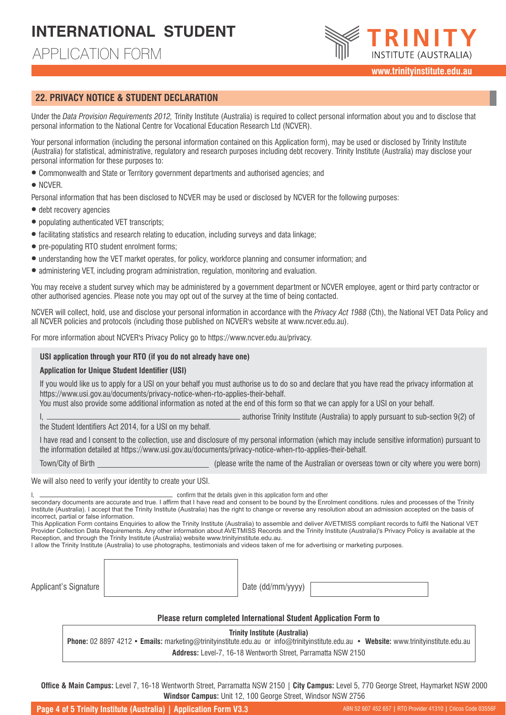

#### **22. PRIVACY NOTICE & STUDENT DECLARATION**

Under the *Data Provision Requirements 2012,* Trinity Institute (Australia) is required to collect personal information about you and to disclose that personal information to the National Centre for Vocational Education Research Ltd (NCVER).

Your personal information (including the personal information contained on this Application form), may be used or disclosed by Trinity Institute (Australia) for statistical, administrative, regulatory and research purposes including debt recovery. Trinity Institute (Australia) may disclose your personal information for these purposes to:

l Commonwealth and State or Territory government departments and authorised agencies; and

 $\bullet$  NCVER.

Personal information that has been disclosed to NCVER may be used or disclosed by NCVER for the following purposes:

- $\bullet$  debt recovery agencies
- populating authenticated VET transcripts;
- $\bullet$  facilitating statistics and research relating to education, including surveys and data linkage;
- pre-populating RTO student enrolment forms;
- $\bullet$  understanding how the VET market operates, for policy, workforce planning and consumer information; and
- administering VET, including program administration, regulation, monitoring and evaluation.

You may receive a student survey which may be administered by a government department or NCVER employee, agent or third party contractor or other authorised agencies. Please note you may opt out of the survey at the time of being contacted.

NCVER will collect, hold, use and disclose your personal information in accordance with the *Privacy Act 1988* (Cth), the National VET Data Policy and all NCVER policies and protocols (including those published on NCVER's website at www.ncver.edu.au).

For more information about NCVER's Privacy Policy go to https://www.ncver.edu.au/privacy.

#### **USI application through your RTO (if you do not already have one)**

#### **Application for Unique Student Identifier (USI)**

If you would like us to apply for a USI on your behalf you must authorise us to do so and declare that you have read the privacy information at https://www.usi.gov.au/documents/privacy-notice-when-rto-applies-their-behalf.

You must also provide some additional information as noted at the end of this form so that we can apply for a USI on your behalf.

I, authorise Trinity Institute (Australia) to apply pursuant to sub-section 9(2) of

the Student Identifiers Act 2014, for a USI on my behalf.

I have read and I consent to the collection, use and disclosure of my personal information (which may include sensitive information) pursuant to the information detailed at https://www.usi.gov.au/documents/privacy-notice-when-rto-applies-their-behalf.

Town/City of Birth (please write the name of the Australian or overseas town or city where you were born)

We will also need to verify your identity to create your USI.

confirm that the details given in this application form and other

secondary documents are accurate and true. I affirm that I have read and consent to be bound by the Enrolment conditions. rules and processes of the Trinity Institute (Australia). I accept that the Trinity Institute (Australia) has the right to change or reverse any resolution about an admission accepted on the basis of incorrect, partial or false information.

This Application Form contains Enquiries to allow the Trinity Institute (Australia) to assemble and deliver AVETMISS compliant records to fulfil the National VET Provider Collection Data Requirements. Any other information about AVETMISS Records and the Trinity Institute (Australia)'s Privacy Policy is available at the Reception, and through the Trinity Institute (Australia) website www.trinityinstitute.edu.au.

I allow the Trinity Institute (Australia) to use photographs, testimonials and videos taken of me for advertising or marketing purposes.

Applicant's Signature | New York 1999 | Date (dd/mm/yyyy)

#### **Please return completed International Student Application Form to**

**Trinity Institute (Australia) Phone:** 02 8897 4212 • **Emails:** marketing@trinityinstitute.edu.au or i nfo@trinityinstitute.edu.au • **Website:** www.trinityinstitute.edu.au **Address:** Level-7, 16-18 Wentworth Street, Parramatta NSW 2150